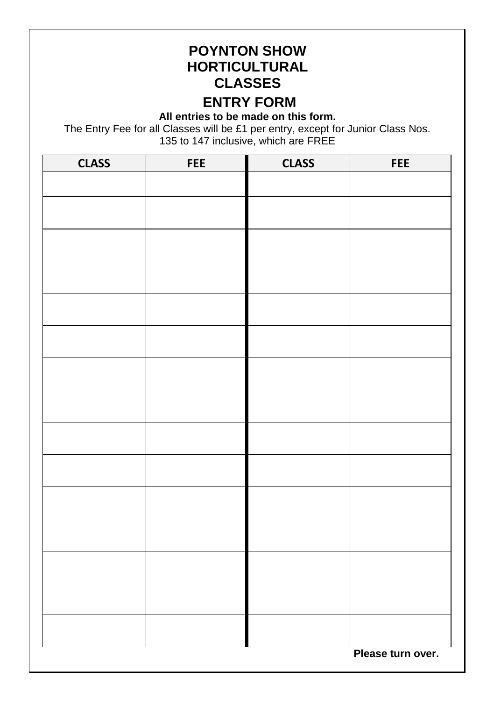## **POYNTON SHOW HORTICULTURAL CLASSES**

## **ENTRY FORM**

**All entries to be made on this form.** 

The Entry Fee for all Classes will be £1 per entry, except for Junior Class Nos. 135 to 147 inclusive, which are FREE

| <b>CLASS</b>      | FEE | <b>CLASS</b> | FEE |  |  |  |
|-------------------|-----|--------------|-----|--|--|--|
|                   |     |              |     |  |  |  |
|                   |     |              |     |  |  |  |
|                   |     |              |     |  |  |  |
|                   |     |              |     |  |  |  |
|                   |     |              |     |  |  |  |
|                   |     |              |     |  |  |  |
|                   |     |              |     |  |  |  |
|                   |     |              |     |  |  |  |
|                   |     |              |     |  |  |  |
|                   |     |              |     |  |  |  |
|                   |     |              |     |  |  |  |
|                   |     |              |     |  |  |  |
|                   |     |              |     |  |  |  |
|                   |     |              |     |  |  |  |
|                   |     |              |     |  |  |  |
|                   |     |              |     |  |  |  |
|                   |     |              |     |  |  |  |
| Please turn over. |     |              |     |  |  |  |